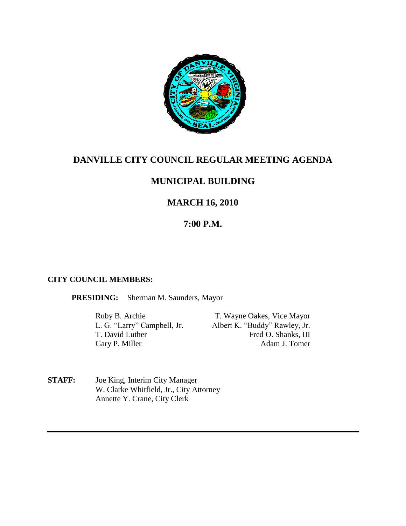

# **DANVILLE CITY COUNCIL REGULAR MEETING AGENDA**

# **MUNICIPAL BUILDING**

# **MARCH 16, 2010**

# **7:00 P.M.**

### **CITY COUNCIL MEMBERS:**

**PRESIDING:** Sherman M. Saunders, Mayor

Ruby B. Archie T. Wayne Oakes, Vice Mayor<br>
L. G. "Larry" Campbell, Jr. Albert K. "Buddy" Rawley, Jr. Albert K. "Buddy" Rawley, Jr. T. David Luther Fred O. Shanks, III Gary P. Miller Adam J. Tomer

**STAFF:** Joe King, Interim City Manager W. Clarke Whitfield, Jr., City Attorney Annette Y. Crane, City Clerk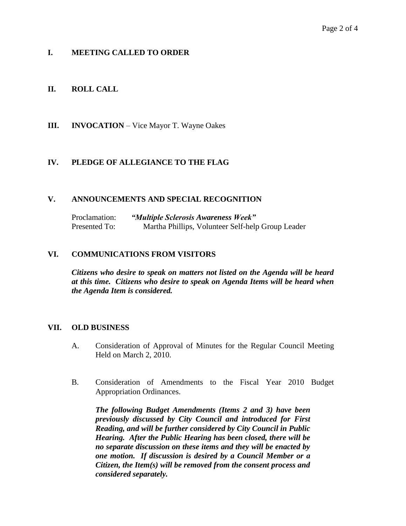## **I. MEETING CALLED TO ORDER**

## **II. ROLL CALL**

**III. INVOCATION** – Vice Mayor T. Wayne Oakes

## **IV. PLEDGE OF ALLEGIANCE TO THE FLAG**

### **V. ANNOUNCEMENTS AND SPECIAL RECOGNITION**

Proclamation: *"Multiple Sclerosis Awareness Week"* Presented To: Martha Phillips, Volunteer Self-help Group Leader

#### **VI. COMMUNICATIONS FROM VISITORS**

*Citizens who desire to speak on matters not listed on the Agenda will be heard at this time. Citizens who desire to speak on Agenda Items will be heard when the Agenda Item is considered.*

#### **VII. OLD BUSINESS**

- A. Consideration of Approval of Minutes for the Regular Council Meeting Held on March 2, 2010.
- B. Consideration of Amendments to the Fiscal Year 2010 Budget Appropriation Ordinances.

*The following Budget Amendments (Items 2 and 3) have been previously discussed by City Council and introduced for First Reading, and will be further considered by City Council in Public Hearing. After the Public Hearing has been closed, there will be no separate discussion on these items and they will be enacted by one motion. If discussion is desired by a Council Member or a Citizen, the Item(s) will be removed from the consent process and considered separately.*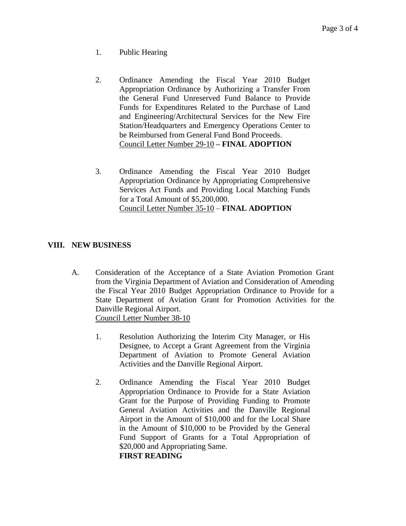- 1. Public Hearing
- 2. Ordinance Amending the Fiscal Year 2010 Budget Appropriation Ordinance by Authorizing a Transfer From the General Fund Unreserved Fund Balance to Provide Funds for Expenditures Related to the Purchase of Land and Engineering/Architectural Services for the New Fire Station/Headquarters and Emergency Operations Center to be Reimbursed from General Fund Bond Proceeds. Council Letter Number 29-10 **– FINAL ADOPTION**
- 3. Ordinance Amending the Fiscal Year 2010 Budget Appropriation Ordinance by Appropriating Comprehensive Services Act Funds and Providing Local Matching Funds for a Total Amount of \$5,200,000. Council Letter Number 35-10 – **FINAL ADOPTION**

## **VIII. NEW BUSINESS**

- A. Consideration of the Acceptance of a State Aviation Promotion Grant from the Virginia Department of Aviation and Consideration of Amending the Fiscal Year 2010 Budget Appropriation Ordinance to Provide for a State Department of Aviation Grant for Promotion Activities for the Danville Regional Airport. Council Letter Number 38-10
	- 1. Resolution Authorizing the Interim City Manager, or His Designee, to Accept a Grant Agreement from the Virginia Department of Aviation to Promote General Aviation Activities and the Danville Regional Airport.
	- 2. Ordinance Amending the Fiscal Year 2010 Budget Appropriation Ordinance to Provide for a State Aviation Grant for the Purpose of Providing Funding to Promote General Aviation Activities and the Danville Regional Airport in the Amount of \$10,000 and for the Local Share in the Amount of \$10,000 to be Provided by the General Fund Support of Grants for a Total Appropriation of \$20,000 and Appropriating Same. **FIRST READING**